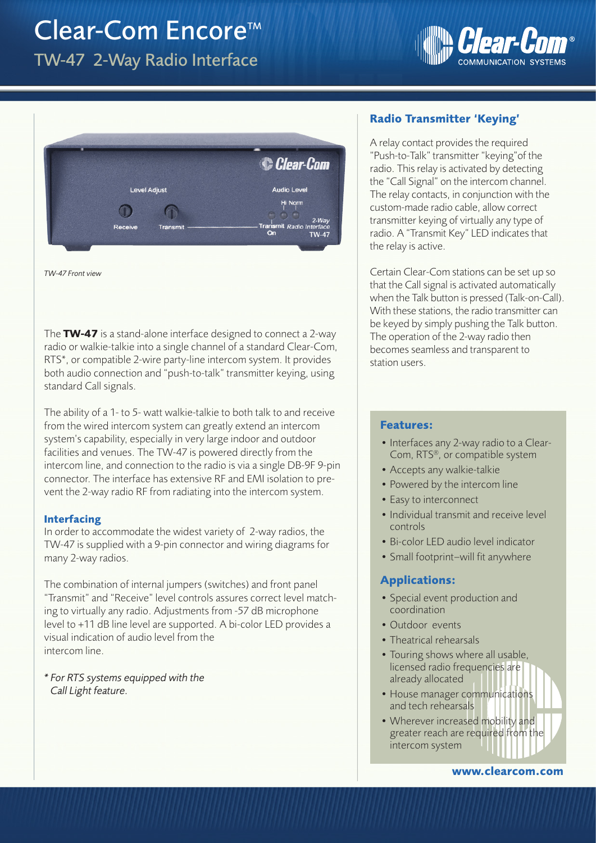# Clear-Com Encore<sup>™</sup>



TW-47 2-Way Radio Interface



The **TW-47** is a stand-alone interface designed to connect a 2-way radio or walkie-talkie into a single channel of a standard Clear-Com, RTS\*, or compatible 2-wire party-line intercom system. It provides both audio connection and "push-to-talk" transmitter keying, using standard Call signals.

The ability of a 1- to 5- watt walkie-talkie to both talk to and receive from the wired intercom system can greatly extend an intercom system's capability, especially in very large indoor and outdoor facilities and venues. The TW-47 is powered directly from the intercom line, and connection to the radio is via a single DB-9F 9-pin connector. The interface has extensive RF and EMI isolation to prevent the 2-way radio RF from radiating into the intercom system.

## **Interfacing**

In order to accommodate the widest variety of 2-way radios, the TW-47 is supplied with a 9-pin connector and wiring diagrams for many 2-way radios.

The combination of internal jumpers (switches) and front panel "Transmit" and "Receive" level controls assures correct level matching to virtually any radio. Adjustments from -57 dB microphone level to +11 dB line level are supported. A bi-color LED provides a visual indication of audio level from the intercom line.

*\* For RTS systems equipped with the Call Light feature.* 

## **Radio Transmitter 'Keying'**

A relay contact provides the required "Push-to-Talk" transmitter "keying"of the radio. This relay is activated by detecting the "Call Signal" on the intercom channel. The relay contacts, in conjunction with the custom-made radio cable, allow correct transmitter keying of virtually any type of radio. A "Transmit Key" LED indicates that the relay is active.

Certain Clear-Com stations can be set up so that the Call signal is activated automatically when the Talk button is pressed (Talk-on-Call). With these stations, the radio transmitter can be keyed by simply pushing the Talk button. The operation of the 2-way radio then becomes seamless and transparent to station users.

## **Features:**

- Interfaces any 2-way radio to a Clear-Com, RTS®, or compatible system
- Accepts any walkie-talkie
- Powered by the intercom line
- Easy to interconnect
- Individual transmit and receive level controls
- Bi-color LED audio level indicator
- Small footprint–will fit anywhere

## **Applications:**

- Special event production and coordination
- Outdoor events
- Theatrical rehearsals
- Touring shows where all usable, licensed radio frequencies are already allocated
- House manager communications and tech rehearsals
- Wherever increased mobility and greater reach are required from the intercom system

**www.clearcom.com**